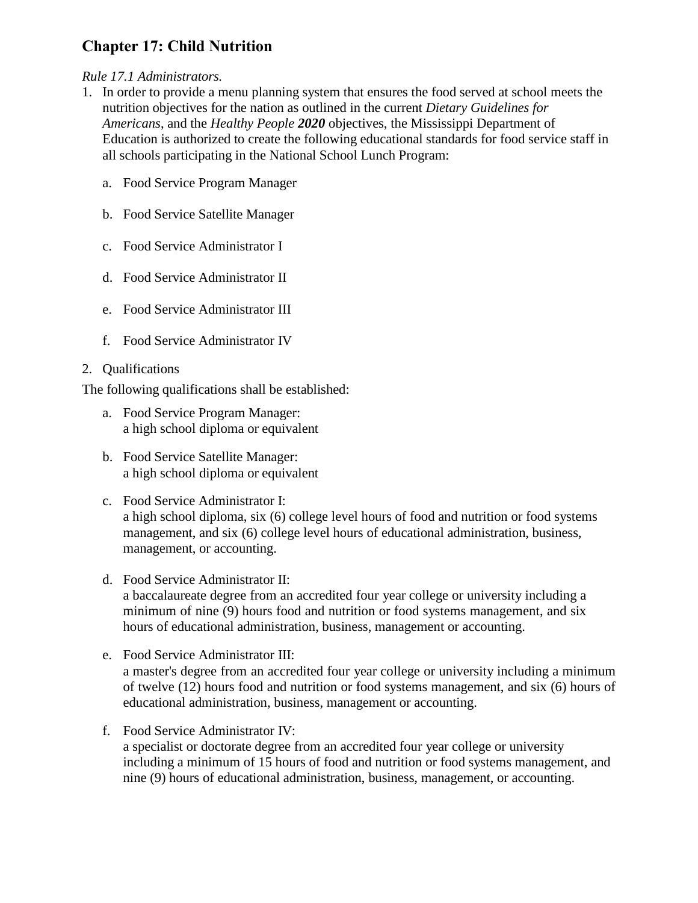# **Chapter 17: Child Nutrition**

## *Rule 17.1 Administrators.*

- 1. In order to provide a menu planning system that ensures the food served at school meets the nutrition objectives for the nation as outlined in the current *Dietary Guidelines for Americans*, and the *Healthy People 2020* objectives, the Mississippi Department of Education is authorized to create the following educational standards for food service staff in all schools participating in the National School Lunch Program:
	- a. Food Service Program Manager
	- b. Food Service Satellite Manager
	- c. Food Service Administrator I
	- d. Food Service Administrator II
	- e. Food Service Administrator III
	- f. Food Service Administrator IV

# 2. Qualifications

The following qualifications shall be established:

- a. Food Service Program Manager: a high school diploma or equivalent
- b. Food Service Satellite Manager: a high school diploma or equivalent
- c. Food Service Administrator I: a high school diploma, six (6) college level hours of food and nutrition or food systems management, and six (6) college level hours of educational administration, business, management, or accounting.
- d. Food Service Administrator II: a baccalaureate degree from an accredited four year college or university including a minimum of nine (9) hours food and nutrition or food systems management, and six hours of educational administration, business, management or accounting.
- e. Food Service Administrator III: a master's degree from an accredited four year college or university including a minimum of twelve (12) hours food and nutrition or food systems management, and six (6) hours of educational administration, business, management or accounting.
- f. Food Service Administrator IV: a specialist or doctorate degree from an accredited four year college or university including a minimum of 15 hours of food and nutrition or food systems management, and nine (9) hours of educational administration, business, management, or accounting.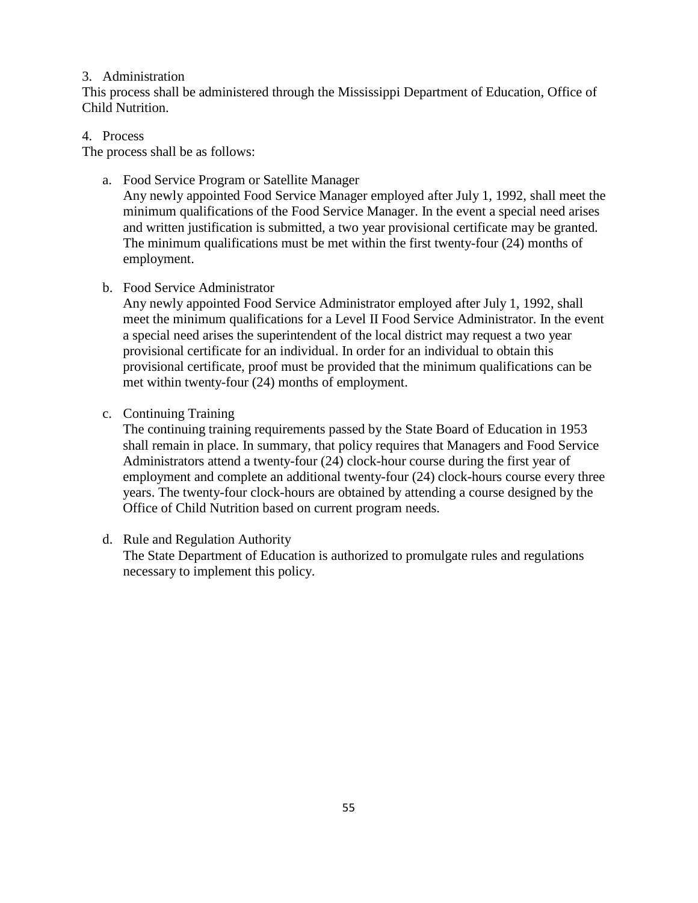## 3. Administration

This process shall be administered through the Mississippi Department of Education, Office of Child Nutrition.

## 4. Process

The process shall be as follows:

a. Food Service Program or Satellite Manager

Any newly appointed Food Service Manager employed after July 1, 1992, shall meet the minimum qualifications of the Food Service Manager. In the event a special need arises and written justification is submitted, a two year provisional certificate may be granted. The minimum qualifications must be met within the first twenty-four (24) months of employment.

## b. Food Service Administrator

Any newly appointed Food Service Administrator employed after July 1, 1992, shall meet the minimum qualifications for a Level II Food Service Administrator. In the event a special need arises the superintendent of the local district may request a two year provisional certificate for an individual. In order for an individual to obtain this provisional certificate, proof must be provided that the minimum qualifications can be met within twenty-four (24) months of employment.

c. Continuing Training

The continuing training requirements passed by the State Board of Education in 1953 shall remain in place. In summary, that policy requires that Managers and Food Service Administrators attend a twenty-four (24) clock-hour course during the first year of employment and complete an additional twenty-four (24) clock-hours course every three years. The twenty-four clock-hours are obtained by attending a course designed by the Office of Child Nutrition based on current program needs.

d. Rule and Regulation Authority

The State Department of Education is authorized to promulgate rules and regulations necessary to implement this policy.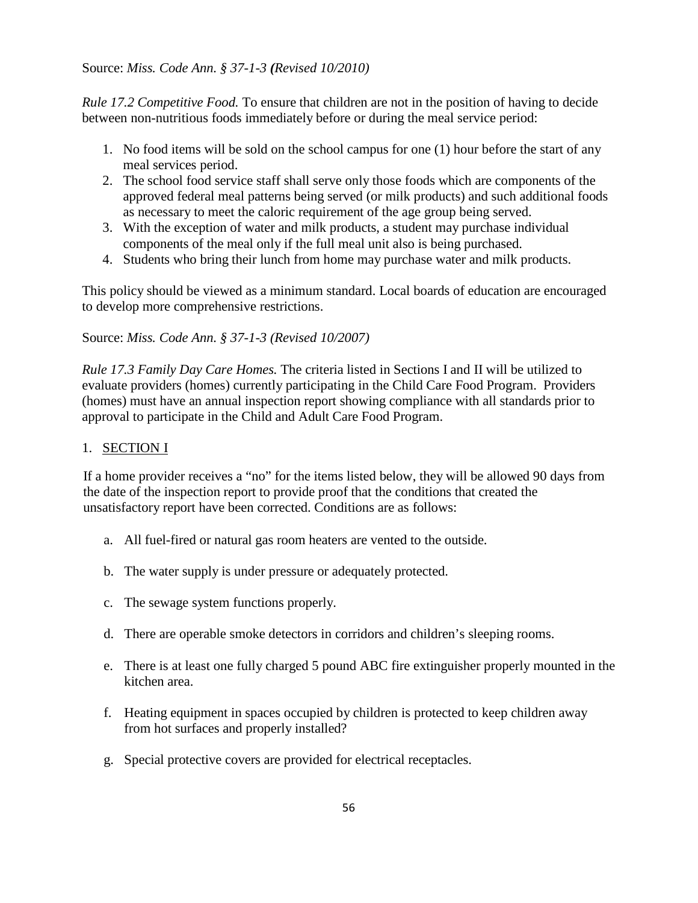Source: *Miss. Code Ann. § 37-1-3 (Revised 10/2010)*

*Rule 17.2 Competitive Food.* To ensure that children are not in the position of having to decide between non-nutritious foods immediately before or during the meal service period:

- 1. No food items will be sold on the school campus for one (1) hour before the start of any meal services period.
- 2. The school food service staff shall serve only those foods which are components of the approved federal meal patterns being served (or milk products) and such additional foods as necessary to meet the caloric requirement of the age group being served.
- 3. With the exception of water and milk products, a student may purchase individual components of the meal only if the full meal unit also is being purchased.
- 4. Students who bring their lunch from home may purchase water and milk products.

This policy should be viewed as a minimum standard. Local boards of education are encouraged to develop more comprehensive restrictions.

Source: *Miss. Code Ann. § 37-1-3 (Revised 10/2007)*

*Rule 17.3 Family Day Care Homes.* The criteria listed in Sections I and II will be utilized to evaluate providers (homes) currently participating in the Child Care Food Program. Providers (homes) must have an annual inspection report showing compliance with all standards prior to approval to participate in the Child and Adult Care Food Program.

# 1. SECTION I

If a home provider receives a "no" for the items listed below, they will be allowed 90 days from the date of the inspection report to provide proof that the conditions that created the unsatisfactory report have been corrected. Conditions are as follows:

- a. All fuel-fired or natural gas room heaters are vented to the outside.
- b. The water supply is under pressure or adequately protected.
- c. The sewage system functions properly.
- d. There are operable smoke detectors in corridors and children's sleeping rooms.
- e. There is at least one fully charged 5 pound ABC fire extinguisher properly mounted in the kitchen area.
- f. Heating equipment in spaces occupied by children is protected to keep children away from hot surfaces and properly installed?
- g. Special protective covers are provided for electrical receptacles.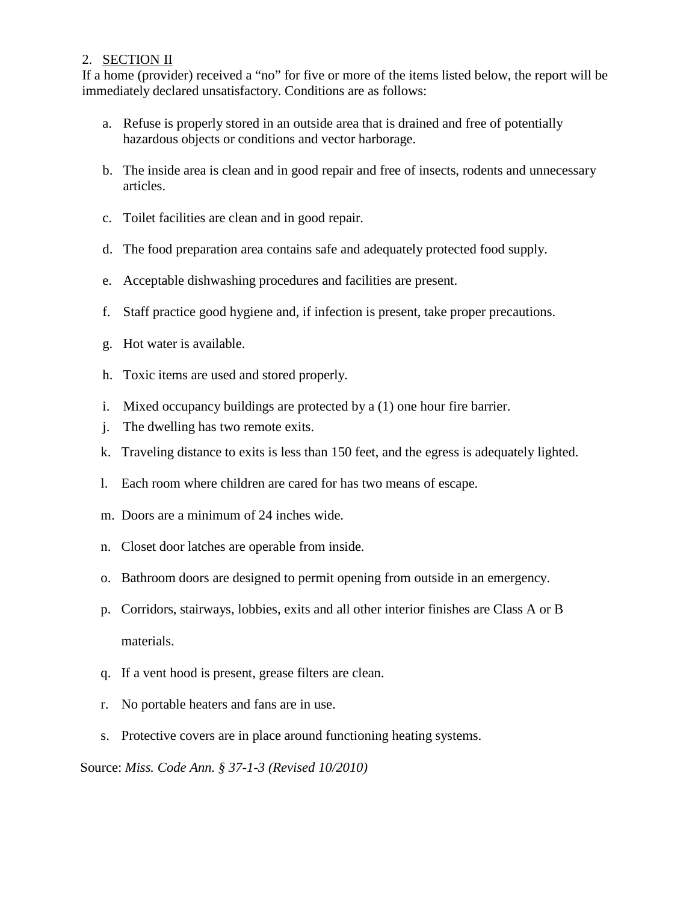# 2. SECTION II

If a home (provider) received a "no" for five or more of the items listed below, the report will be immediately declared unsatisfactory. Conditions are as follows:

- a. Refuse is properly stored in an outside area that is drained and free of potentially hazardous objects or conditions and vector harborage.
- b. The inside area is clean and in good repair and free of insects, rodents and unnecessary articles.
- c. Toilet facilities are clean and in good repair.
- d. The food preparation area contains safe and adequately protected food supply.
- e. Acceptable dishwashing procedures and facilities are present.
- f. Staff practice good hygiene and, if infection is present, take proper precautions.
- g. Hot water is available.
- h. Toxic items are used and stored properly.
- i. Mixed occupancy buildings are protected by a (1) one hour fire barrier.
- j. The dwelling has two remote exits.
- k. Traveling distance to exits is less than 150 feet, and the egress is adequately lighted.
- l. Each room where children are cared for has two means of escape.
- m. Doors are a minimum of 24 inches wide.
- n. Closet door latches are operable from inside.
- o. Bathroom doors are designed to permit opening from outside in an emergency.
- p. Corridors, stairways, lobbies, exits and all other interior finishes are Class A or B materials.
- q. If a vent hood is present, grease filters are clean.
- r. No portable heaters and fans are in use.
- s. Protective covers are in place around functioning heating systems.

Source: *Miss. Code Ann. § 37-1-3 (Revised 10/2010)*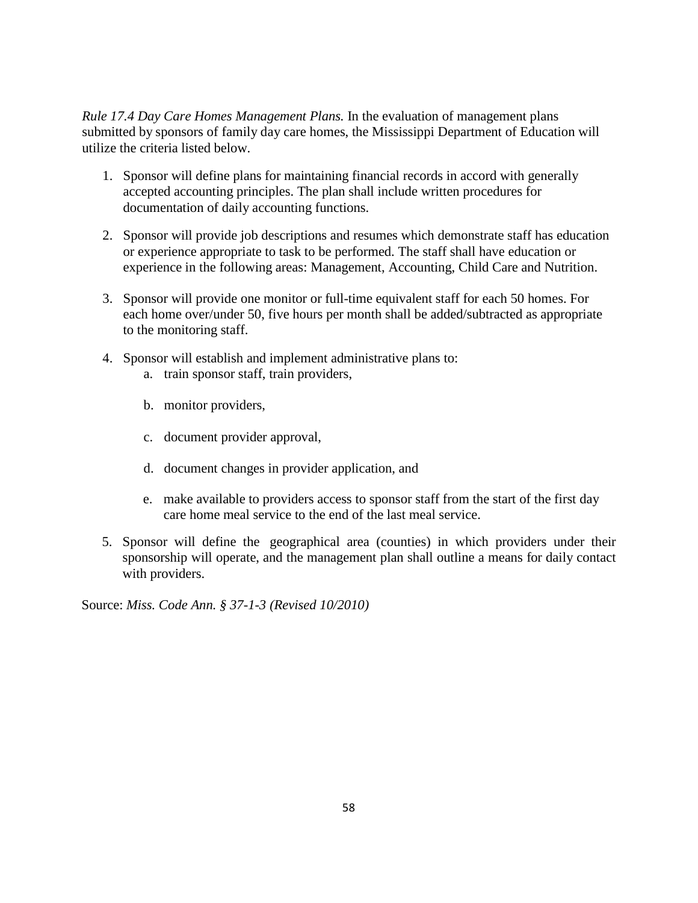*Rule 17.4 Day Care Homes Management Plans.* In the evaluation of management plans submitted by sponsors of family day care homes, the Mississippi Department of Education will utilize the criteria listed below.

- 1. Sponsor will define plans for maintaining financial records in accord with generally accepted accounting principles. The plan shall include written procedures for documentation of daily accounting functions.
- 2. Sponsor will provide job descriptions and resumes which demonstrate staff has education or experience appropriate to task to be performed. The staff shall have education or experience in the following areas: Management, Accounting, Child Care and Nutrition.
- 3. Sponsor will provide one monitor or full-time equivalent staff for each 50 homes. For each home over/under 50, five hours per month shall be added/subtracted as appropriate to the monitoring staff.
- 4. Sponsor will establish and implement administrative plans to:
	- a. train sponsor staff, train providers,
	- b. monitor providers,
	- c. document provider approval,
	- d. document changes in provider application, and
	- e. make available to providers access to sponsor staff from the start of the first day care home meal service to the end of the last meal service.
- 5. Sponsor will define the geographical area (counties) in which providers under their sponsorship will operate, and the management plan shall outline a means for daily contact with providers.

Source: *Miss. Code Ann. § 37-1-3 (Revised 10/2010)*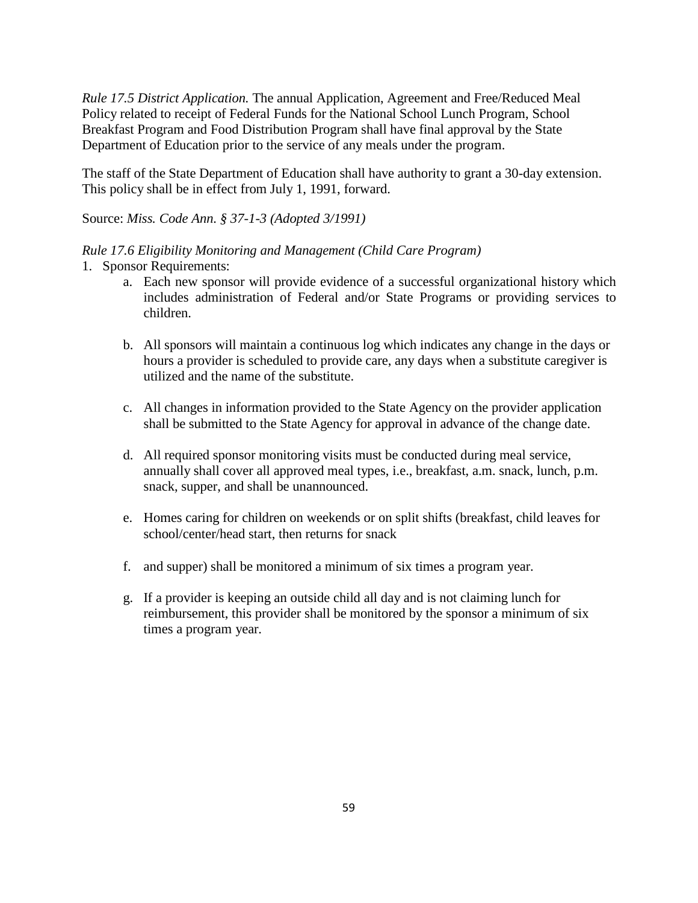*Rule 17.5 District Application.* The annual Application, Agreement and Free/Reduced Meal Policy related to receipt of Federal Funds for the National School Lunch Program, School Breakfast Program and Food Distribution Program shall have final approval by the State Department of Education prior to the service of any meals under the program.

The staff of the State Department of Education shall have authority to grant a 30-day extension. This policy shall be in effect from July 1, 1991, forward.

Source: *Miss. Code Ann. § 37-1-3 (Adopted 3/1991)*

## *Rule 17.6 Eligibility Monitoring and Management (Child Care Program)*

1. Sponsor Requirements:

- a. Each new sponsor will provide evidence of a successful organizational history which includes administration of Federal and/or State Programs or providing services to children.
- b. All sponsors will maintain a continuous log which indicates any change in the days or hours a provider is scheduled to provide care, any days when a substitute caregiver is utilized and the name of the substitute.
- c. All changes in information provided to the State Agency on the provider application shall be submitted to the State Agency for approval in advance of the change date.
- d. All required sponsor monitoring visits must be conducted during meal service, annually shall cover all approved meal types, i.e., breakfast, a.m. snack, lunch, p.m. snack, supper, and shall be unannounced.
- e. Homes caring for children on weekends or on split shifts (breakfast, child leaves for school/center/head start, then returns for snack
- f. and supper) shall be monitored a minimum of six times a program year.
- g. If a provider is keeping an outside child all day and is not claiming lunch for reimbursement, this provider shall be monitored by the sponsor a minimum of six times a program year.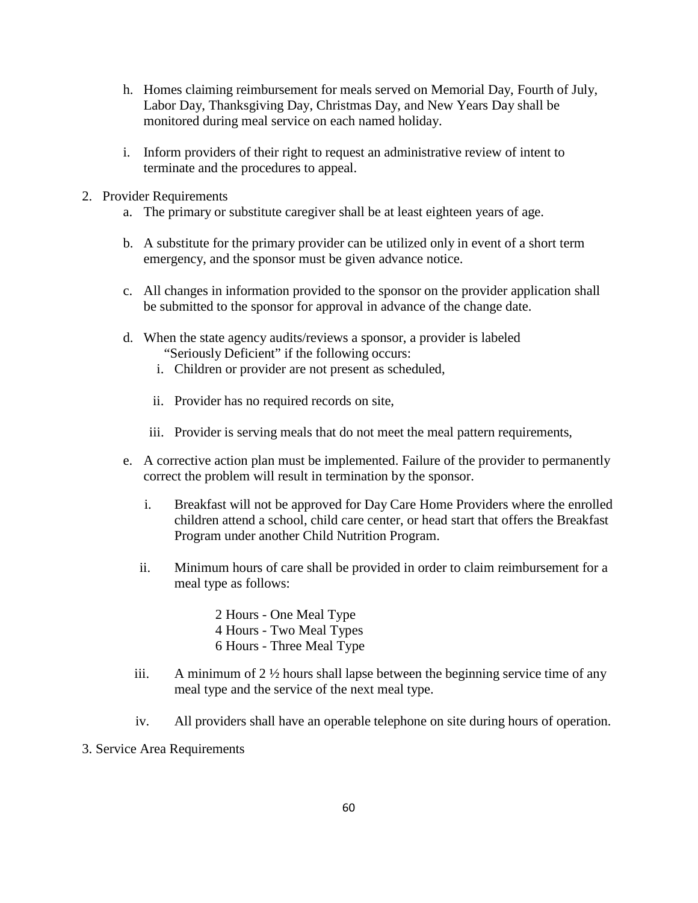- h. Homes claiming reimbursement for meals served on Memorial Day, Fourth of July, Labor Day, Thanksgiving Day, Christmas Day, and New Years Day shall be monitored during meal service on each named holiday.
- i. Inform providers of their right to request an administrative review of intent to terminate and the procedures to appeal.
- 2. Provider Requirements
	- a. The primary or substitute caregiver shall be at least eighteen years of age.
	- b. A substitute for the primary provider can be utilized only in event of a short term emergency, and the sponsor must be given advance notice.
	- c. All changes in information provided to the sponsor on the provider application shall be submitted to the sponsor for approval in advance of the change date.
	- d. When the state agency audits/reviews a sponsor, a provider is labeled "Seriously Deficient" if the following occurs:
		- i. Children or provider are not present as scheduled,
		- ii. Provider has no required records on site,
		- iii. Provider is serving meals that do not meet the meal pattern requirements,
	- e. A corrective action plan must be implemented. Failure of the provider to permanently correct the problem will result in termination by the sponsor.
		- i. Breakfast will not be approved for Day Care Home Providers where the enrolled children attend a school, child care center, or head start that offers the Breakfast Program under another Child Nutrition Program.
		- ii. Minimum hours of care shall be provided in order to claim reimbursement for a meal type as follows:
			- 2 Hours One Meal Type 4 Hours - Two Meal Types 6 Hours - Three Meal Type
		- iii. A minimum of  $2\frac{1}{2}$  hours shall lapse between the beginning service time of any meal type and the service of the next meal type.
		- iv. All providers shall have an operable telephone on site during hours of operation.
- 3. Service Area Requirements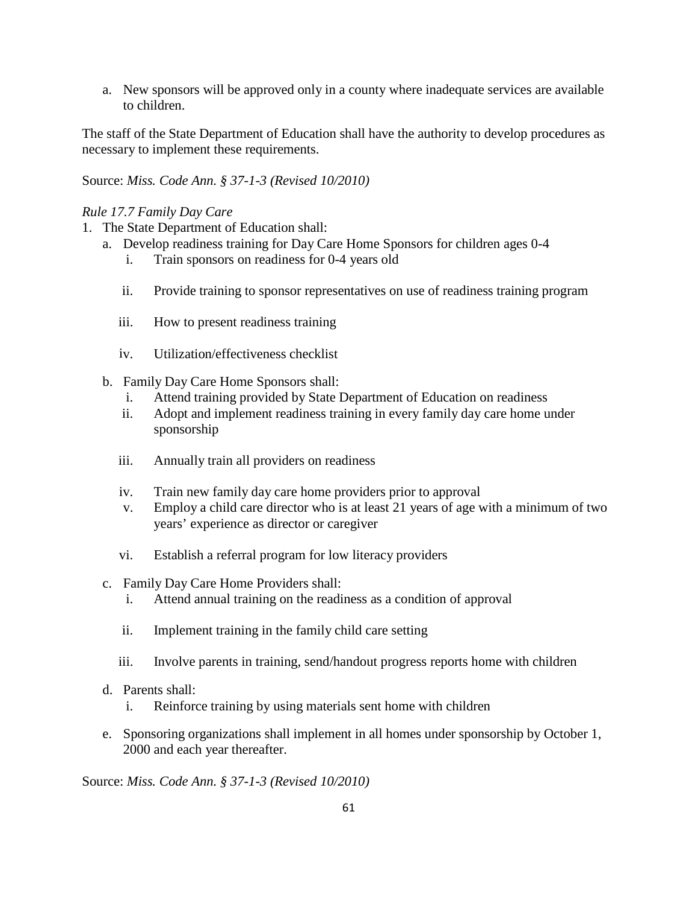a. New sponsors will be approved only in a county where inadequate services are available to children.

The staff of the State Department of Education shall have the authority to develop procedures as necessary to implement these requirements.

Source: *Miss. Code Ann. § 37-1-3 (Revised 10/2010)* 

## *Rule 17.7 Family Day Care*

- 1. The State Department of Education shall:
	- a. Develop readiness training for Day Care Home Sponsors for children ages 0-4
		- i. Train sponsors on readiness for 0-4 years old
		- ii. Provide training to sponsor representatives on use of readiness training program
		- iii. How to present readiness training
		- iv. Utilization/effectiveness checklist
	- b. Family Day Care Home Sponsors shall:
		- i. Attend training provided by State Department of Education on readiness
		- ii. Adopt and implement readiness training in every family day care home under sponsorship
		- iii. Annually train all providers on readiness
		- iv. Train new family day care home providers prior to approval
		- v. Employ a child care director who is at least 21 years of age with a minimum of two years' experience as director or caregiver
		- vi. Establish a referral program for low literacy providers
	- c. Family Day Care Home Providers shall:
		- i. Attend annual training on the readiness as a condition of approval
		- ii. Implement training in the family child care setting
		- iii. Involve parents in training, send/handout progress reports home with children
	- d. Parents shall:
		- i. Reinforce training by using materials sent home with children
	- e. Sponsoring organizations shall implement in all homes under sponsorship by October 1, 2000 and each year thereafter.

Source: *Miss. Code Ann. § 37-1-3 (Revised 10/2010)*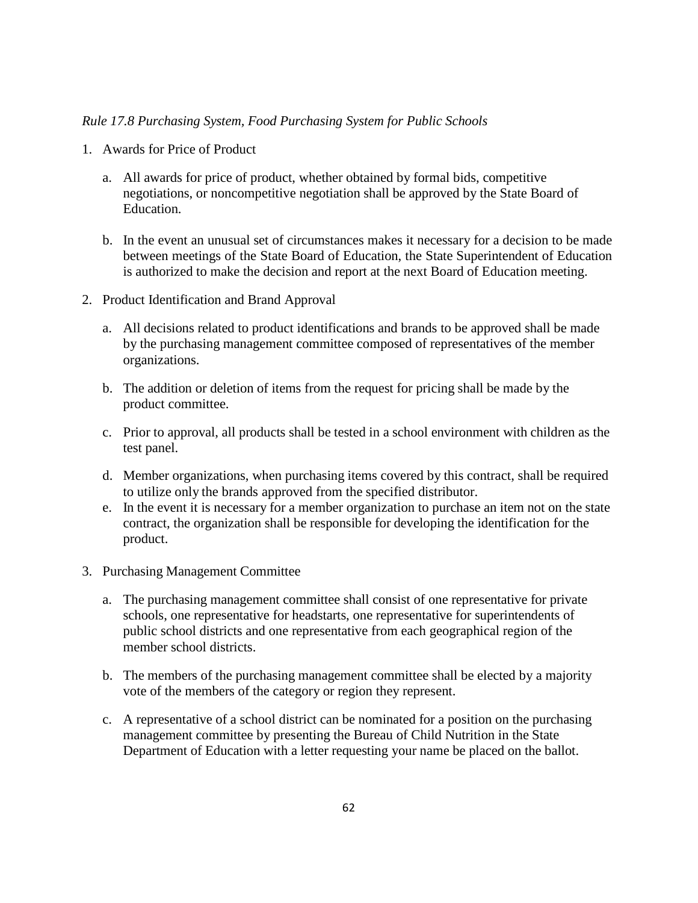### *Rule 17.8 Purchasing System, Food Purchasing System for Public Schools*

- 1. Awards for Price of Product
	- a. All awards for price of product, whether obtained by formal bids, competitive negotiations, or noncompetitive negotiation shall be approved by the State Board of Education.
	- b. In the event an unusual set of circumstances makes it necessary for a decision to be made between meetings of the State Board of Education, the State Superintendent of Education is authorized to make the decision and report at the next Board of Education meeting.
- 2. Product Identification and Brand Approval
	- a. All decisions related to product identifications and brands to be approved shall be made by the purchasing management committee composed of representatives of the member organizations.
	- b. The addition or deletion of items from the request for pricing shall be made by the product committee.
	- c. Prior to approval, all products shall be tested in a school environment with children as the test panel.
	- d. Member organizations, when purchasing items covered by this contract, shall be required to utilize only the brands approved from the specified distributor.
	- e. In the event it is necessary for a member organization to purchase an item not on the state contract, the organization shall be responsible for developing the identification for the product.
- 3. Purchasing Management Committee
	- a. The purchasing management committee shall consist of one representative for private schools, one representative for headstarts, one representative for superintendents of public school districts and one representative from each geographical region of the member school districts.
	- b. The members of the purchasing management committee shall be elected by a majority vote of the members of the category or region they represent.
	- c. A representative of a school district can be nominated for a position on the purchasing management committee by presenting the Bureau of Child Nutrition in the State Department of Education with a letter requesting your name be placed on the ballot.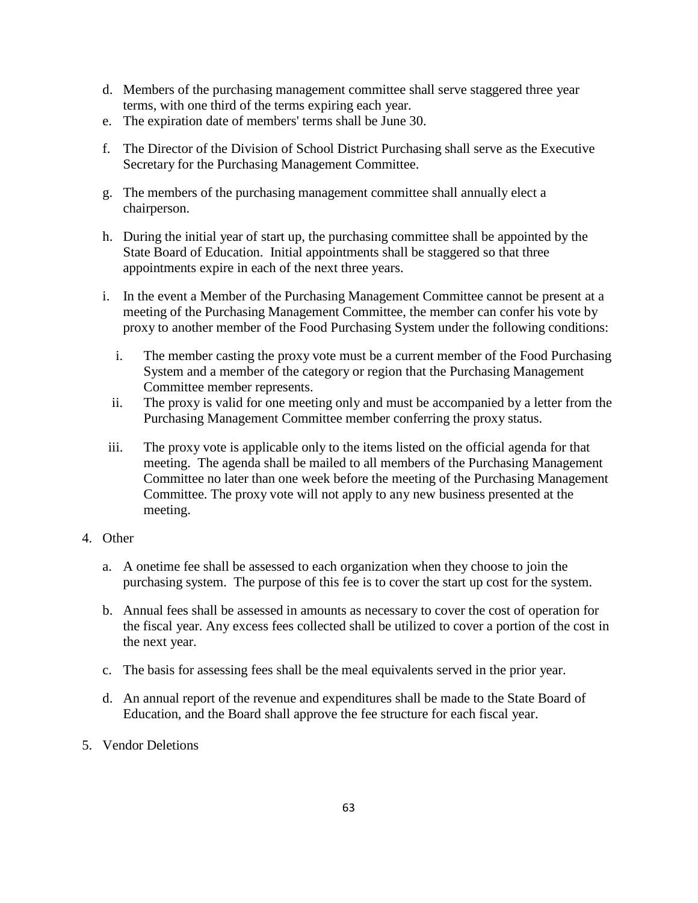- d. Members of the purchasing management committee shall serve staggered three year terms, with one third of the terms expiring each year.
- e. The expiration date of members' terms shall be June 30.
- f. The Director of the Division of School District Purchasing shall serve as the Executive Secretary for the Purchasing Management Committee.
- g. The members of the purchasing management committee shall annually elect a chairperson.
- h. During the initial year of start up, the purchasing committee shall be appointed by the State Board of Education. Initial appointments shall be staggered so that three appointments expire in each of the next three years.
- i. In the event a Member of the Purchasing Management Committee cannot be present at a meeting of the Purchasing Management Committee, the member can confer his vote by proxy to another member of the Food Purchasing System under the following conditions:
	- i. The member casting the proxy vote must be a current member of the Food Purchasing System and a member of the category or region that the Purchasing Management Committee member represents.
	- ii. The proxy is valid for one meeting only and must be accompanied by a letter from the Purchasing Management Committee member conferring the proxy status.
- iii. The proxy vote is applicable only to the items listed on the official agenda for that meeting. The agenda shall be mailed to all members of the Purchasing Management Committee no later than one week before the meeting of the Purchasing Management Committee. The proxy vote will not apply to any new business presented at the meeting.
- 4. Other
	- a. A onetime fee shall be assessed to each organization when they choose to join the purchasing system. The purpose of this fee is to cover the start up cost for the system.
	- b. Annual fees shall be assessed in amounts as necessary to cover the cost of operation for the fiscal year. Any excess fees collected shall be utilized to cover a portion of the cost in the next year.
	- c. The basis for assessing fees shall be the meal equivalents served in the prior year.
	- d. An annual report of the revenue and expenditures shall be made to the State Board of Education, and the Board shall approve the fee structure for each fiscal year.
- 5. Vendor Deletions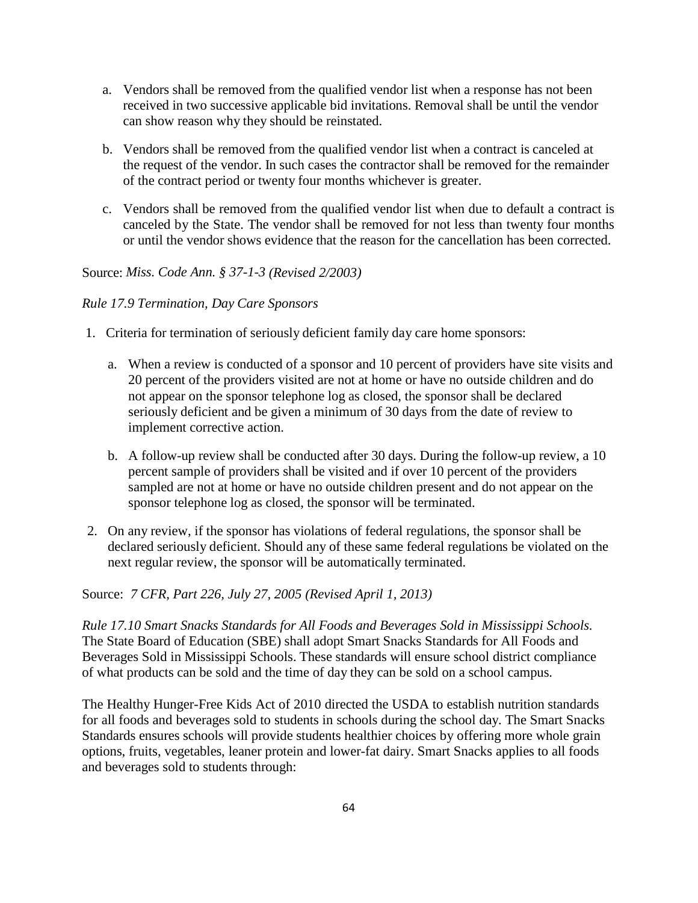- a. Vendors shall be removed from the qualified vendor list when a response has not been received in two successive applicable bid invitations. Removal shall be until the vendor can show reason why they should be reinstated.
- b. Vendors shall be removed from the qualified vendor list when a contract is canceled at the request of the vendor. In such cases the contractor shall be removed for the remainder of the contract period or twenty four months whichever is greater.
- c. Vendors shall be removed from the qualified vendor list when due to default a contract is canceled by the State. The vendor shall be removed for not less than twenty four months or until the vendor shows evidence that the reason for the cancellation has been corrected.

## Source: *Miss. Code Ann. § 37-1-3 (Revised 2/2003)*

#### *Rule 17.9 Termination, Day Care Sponsors*

- 1. Criteria for termination of seriously deficient family day care home sponsors:
	- a. When a review is conducted of a sponsor and 10 percent of providers have site visits and 20 percent of the providers visited are not at home or have no outside children and do not appear on the sponsor telephone log as closed, the sponsor shall be declared seriously deficient and be given a minimum of 30 days from the date of review to implement corrective action.
	- b. A follow-up review shall be conducted after 30 days. During the follow-up review, a 10 percent sample of providers shall be visited and if over 10 percent of the providers sampled are not at home or have no outside children present and do not appear on the sponsor telephone log as closed, the sponsor will be terminated.
- 2. On any review, if the sponsor has violations of federal regulations, the sponsor shall be declared seriously deficient. Should any of these same federal regulations be violated on the next regular review, the sponsor will be automatically terminated.

Source: *7 CFR, Part 226, July 27, 2005 (Revised April 1, 2013)*

*Rule 17.10 Smart Snacks Standards for All Foods and Beverages Sold in Mississippi Schools.*  The State Board of Education (SBE) shall adopt Smart Snacks Standards for All Foods and Beverages Sold in Mississippi Schools. These standards will ensure school district compliance of what products can be sold and the time of day they can be sold on a school campus.

The Healthy Hunger-Free Kids Act of 2010 directed the USDA to establish nutrition standards for all foods and beverages sold to students in schools during the school day. The Smart Snacks Standards ensures schools will provide students healthier choices by offering more whole grain options, fruits, vegetables, leaner protein and lower-fat dairy. Smart Snacks applies to all foods and beverages sold to students through: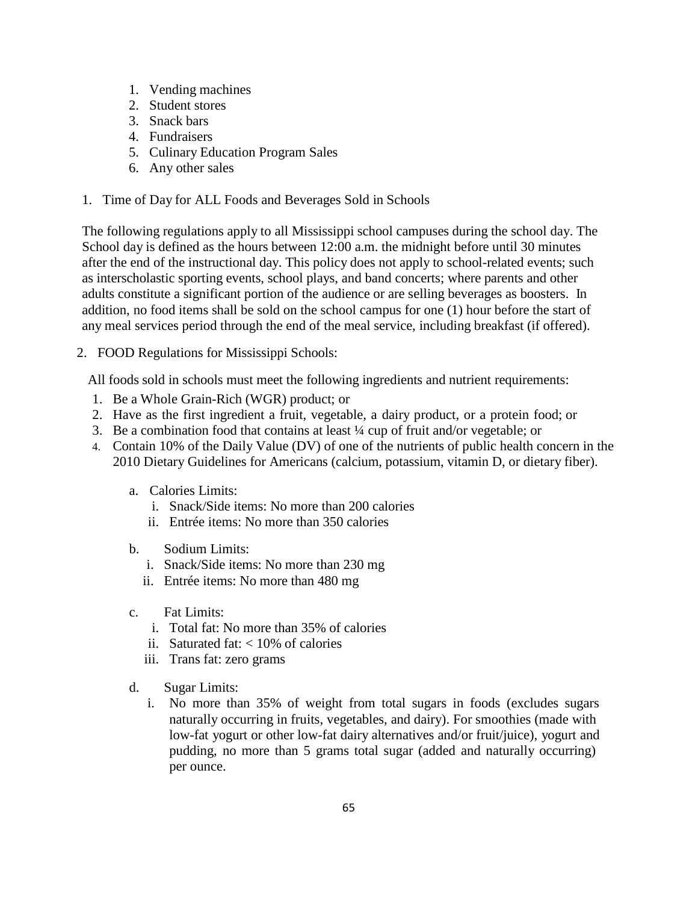- 1. Vending machines
- 2. Student stores
- 3. Snack bars
- 4. Fundraisers
- 5. Culinary Education Program Sales
- 6. Any other sales
- 1. Time of Day for ALL Foods and Beverages Sold in Schools

The following regulations apply to all Mississippi school campuses during the school day. The School day is defined as the hours between 12:00 a.m. the midnight before until 30 minutes after the end of the instructional day. This policy does not apply to school-related events; such as interscholastic sporting events, school plays, and band concerts; where parents and other adults constitute a significant portion of the audience or are selling beverages as boosters. In addition, no food items shall be sold on the school campus for one (1) hour before the start of any meal services period through the end of the meal service, including breakfast (if offered).

2. FOOD Regulations for Mississippi Schools:

All foods sold in schools must meet the following ingredients and nutrient requirements:

- 1. Be a Whole Grain-Rich (WGR) product; or
- 2. Have as the first ingredient a fruit, vegetable, a dairy product, or a protein food; or
- 3. Be a combination food that contains at least ¼ cup of fruit and/or vegetable; or
- 4. Contain 10% of the Daily Value (DV) of one of the nutrients of public health concern in the 2010 Dietary Guidelines for Americans (calcium, potassium, vitamin D, or dietary fiber).
	- a. Calories Limits:
		- i. Snack/Side items: No more than 200 calories
		- ii. Entrée items: No more than 350 calories
	- b. Sodium Limits:
		- i. Snack/Side items: No more than 230 mg
		- ii. Entrée items: No more than 480 mg
	- c. Fat Limits:
		- i. Total fat: No more than 35% of calories
		- ii. Saturated fat:  $< 10\%$  of calories
		- iii. Trans fat: zero grams
	- d. Sugar Limits:
		- i. No more than 35% of weight from total sugars in foods (excludes sugars naturally occurring in fruits, vegetables, and dairy). For smoothies (made with low-fat yogurt or other low-fat dairy alternatives and/or fruit/juice), yogurt and pudding, no more than 5 grams total sugar (added and naturally occurring) per ounce.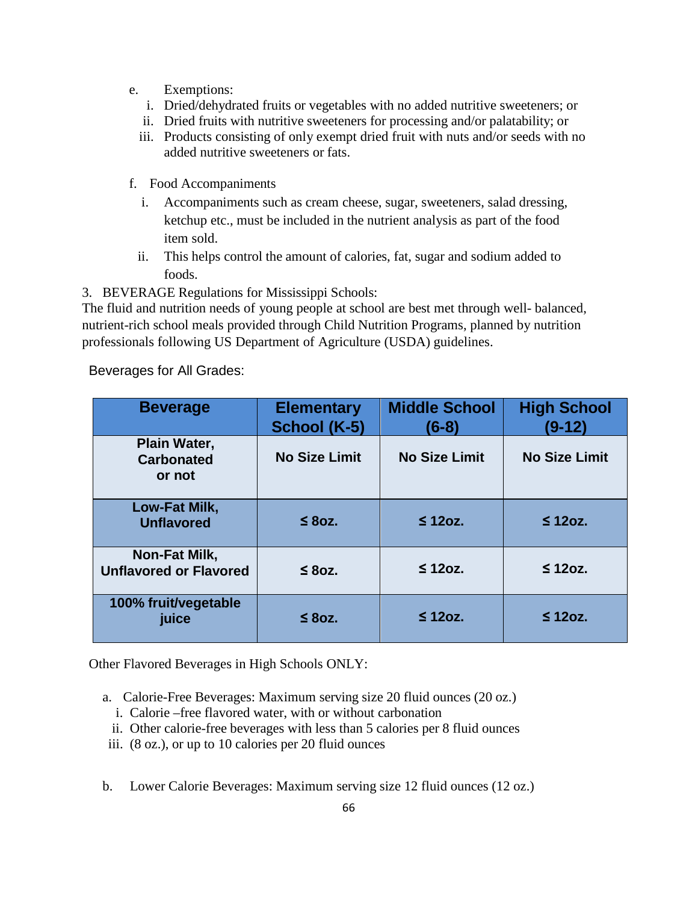- e. Exemptions:
	- i. Dried/dehydrated fruits or vegetables with no added nutritive sweeteners; or
	- ii. Dried fruits with nutritive sweeteners for processing and/or palatability; or
	- iii. Products consisting of only exempt dried fruit with nuts and/or seeds with no added nutritive sweeteners or fats.
- f. Food Accompaniments
	- i. Accompaniments such as cream cheese, sugar, sweeteners, salad dressing, ketchup etc., must be included in the nutrient analysis as part of the food item sold.
	- ii. This helps control the amount of calories, fat, sugar and sodium added to foods.

3. BEVERAGE Regulations for Mississippi Schools:

The fluid and nutrition needs of young people at school are best met through well- balanced, nutrient-rich school meals provided through Child Nutrition Programs, planned by nutrition professionals following US Department of Agriculture (USDA) guidelines.

Beverages for All Grades:

| <b>Beverage</b>                                | <b>Elementary</b><br>School (K-5) | <b>Middle School</b><br>$(6-8)$ | <b>High School</b><br>$(9-12)$ |
|------------------------------------------------|-----------------------------------|---------------------------------|--------------------------------|
| Plain Water,<br><b>Carbonated</b><br>or not    | <b>No Size Limit</b>              | <b>No Size Limit</b>            | <b>No Size Limit</b>           |
| Low-Fat Milk,<br><b>Unflavored</b>             | $\leq 8$ oz.                      | $\leq$ 120z.                    | $\leq$ 12oz.                   |
| Non-Fat Milk,<br><b>Unflavored or Flavored</b> | $\leq 8$ oz.                      | $\leq$ 12oz.                    | $\leq$ 12oz.                   |
| 100% fruit/vegetable<br>juice                  | $\leq 8$ oz.                      | $\leq$ 120z.                    | $\leq$ 120z.                   |

Other Flavored Beverages in High Schools ONLY:

- a. Calorie-Free Beverages: Maximum serving size 20 fluid ounces (20 oz.)
	- i. Calorie –free flavored water, with or without carbonation
	- ii. Other calorie-free beverages with less than 5 calories per 8 fluid ounces
- iii. (8 oz.), or up to 10 calories per 20 fluid ounces
- b. Lower Calorie Beverages: Maximum serving size 12 fluid ounces (12 oz.)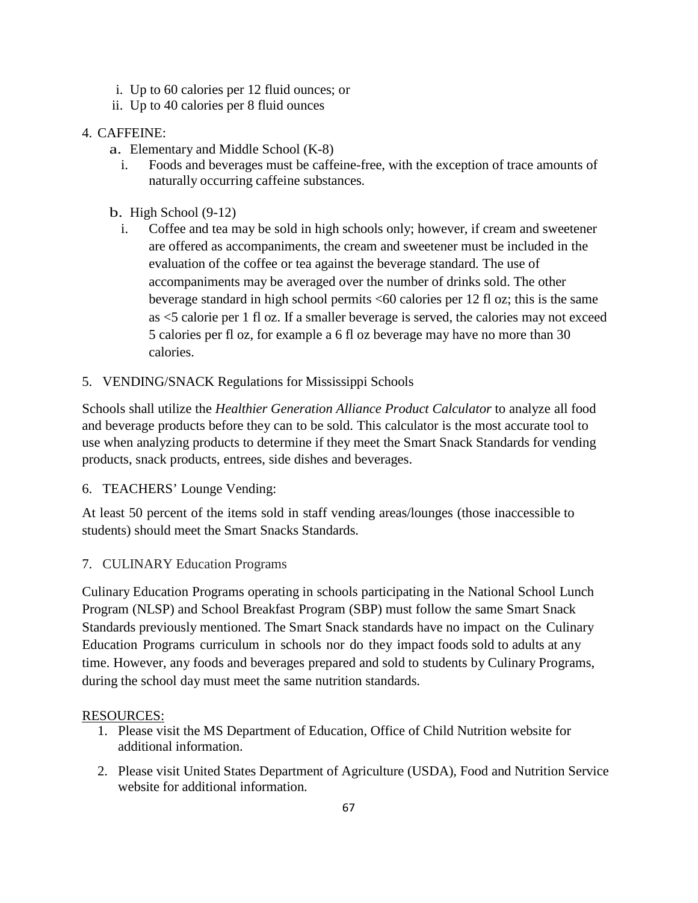- i. Up to 60 calories per 12 fluid ounces; or
- ii. Up to 40 calories per 8 fluid ounces

# 4. CAFFEINE:

- a. Elementary and Middle School (K-8)
	- i. Foods and beverages must be caffeine-free, with the exception of trace amounts of naturally occurring caffeine substances.
- b. High School (9-12)
	- i. Coffee and tea may be sold in high schools only; however, if cream and sweetener are offered as accompaniments, the cream and sweetener must be included in the evaluation of the coffee or tea against the beverage standard. The use of accompaniments may be averaged over the number of drinks sold. The other beverage standard in high school permits <60 calories per 12 fl oz; this is the same as <5 calorie per 1 fl oz. If a smaller beverage is served, the calories may not exceed 5 calories per fl oz, for example a 6 fl oz beverage may have no more than 30 calories.
- 5. VENDING/SNACK Regulations for Mississippi Schools

Schools shall utilize the *Healthier Generation Alliance Product Calculator* to analyze all food and beverage products before they can to be sold. This calculator is the most accurate tool to use when analyzing products to determine if they meet the Smart Snack Standards for vending products, snack products, entrees, side dishes and beverages.

6. TEACHERS' Lounge Vending:

At least 50 percent of the items sold in staff vending areas/lounges (those inaccessible to students) should meet the Smart Snacks Standards.

# 7. CULINARY Education Programs

Culinary Education Programs operating in schools participating in the National School Lunch Program (NLSP) and School Breakfast Program (SBP) must follow the same Smart Snack Standards previously mentioned. The Smart Snack standards have no impact on the Culinary Education Programs curriculum in schools nor do they impact foods sold to adults at any time. However, any foods and beverages prepared and sold to students by Culinary Programs, during the school day must meet the same nutrition standards.

# RESOURCES:

- 1. Please visit the MS Department of Education, Office of Child Nutrition website for additional information.
- 2. Please visit United States Department of Agriculture (USDA), Food and Nutrition Service website for additional information.